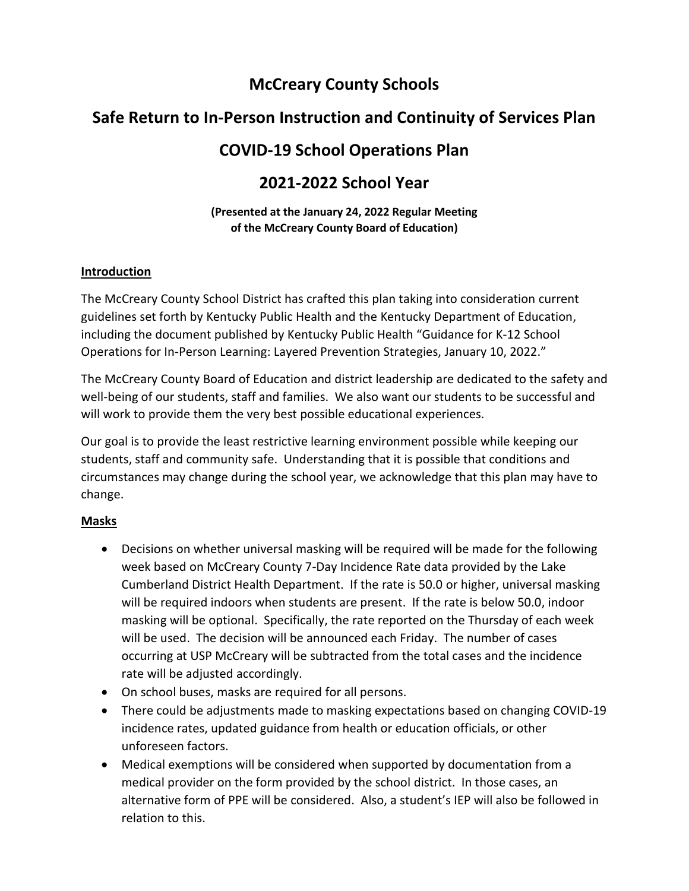# **McCreary County Schools**

# **Safe Return to In-Person Instruction and Continuity of Services Plan**

# **COVID-19 School Operations Plan**

## **2021-2022 School Year**

#### **(Presented at the January 24, 2022 Regular Meeting of the McCreary County Board of Education)**

### **Introduction**

The McCreary County School District has crafted this plan taking into consideration current guidelines set forth by Kentucky Public Health and the Kentucky Department of Education, including the document published by Kentucky Public Health "Guidance for K-12 School Operations for In-Person Learning: Layered Prevention Strategies, January 10, 2022."

The McCreary County Board of Education and district leadership are dedicated to the safety and well-being of our students, staff and families. We also want our students to be successful and will work to provide them the very best possible educational experiences.

Our goal is to provide the least restrictive learning environment possible while keeping our students, staff and community safe. Understanding that it is possible that conditions and circumstances may change during the school year, we acknowledge that this plan may have to change.

## **Masks**

- Decisions on whether universal masking will be required will be made for the following week based on McCreary County 7-Day Incidence Rate data provided by the Lake Cumberland District Health Department. If the rate is 50.0 or higher, universal masking will be required indoors when students are present. If the rate is below 50.0, indoor masking will be optional. Specifically, the rate reported on the Thursday of each week will be used. The decision will be announced each Friday. The number of cases occurring at USP McCreary will be subtracted from the total cases and the incidence rate will be adjusted accordingly.
- On school buses, masks are required for all persons.
- There could be adjustments made to masking expectations based on changing COVID-19 incidence rates, updated guidance from health or education officials, or other unforeseen factors.
- Medical exemptions will be considered when supported by documentation from a medical provider on the form provided by the school district. In those cases, an alternative form of PPE will be considered. Also, a student's IEP will also be followed in relation to this.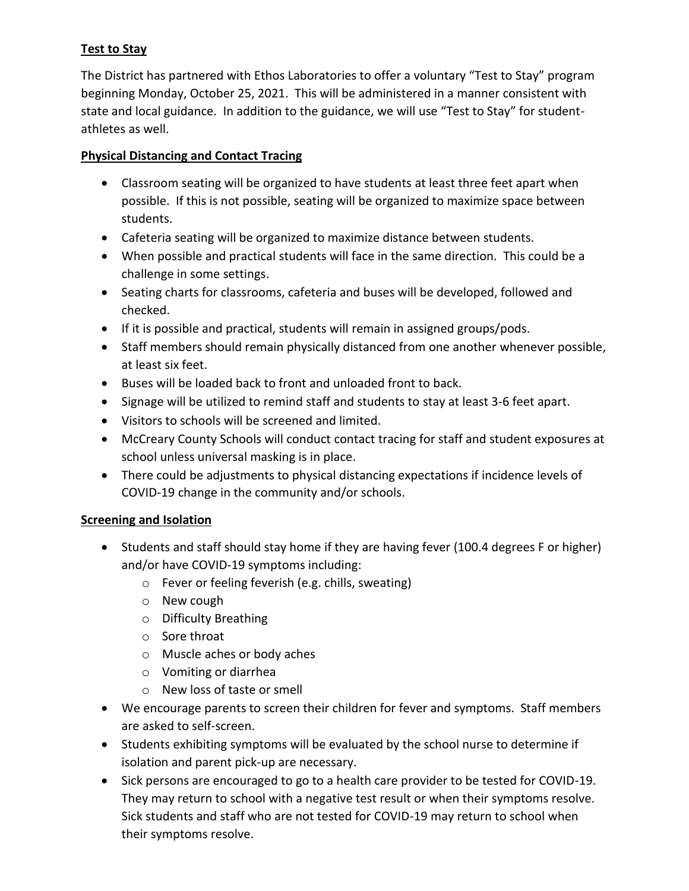## **Test to Stay**

The District has partnered with Ethos Laboratories to offer a voluntary "Test to Stay" program beginning Monday, October 25, 2021. This will be administered in a manner consistent with state and local guidance. In addition to the guidance, we will use "Test to Stay" for studentathletes as well.

### **Physical Distancing and Contact Tracing**

- Classroom seating will be organized to have students at least three feet apart when possible. If this is not possible, seating will be organized to maximize space between students.
- Cafeteria seating will be organized to maximize distance between students.
- When possible and practical students will face in the same direction. This could be a challenge in some settings.
- Seating charts for classrooms, cafeteria and buses will be developed, followed and checked.
- If it is possible and practical, students will remain in assigned groups/pods.
- Staff members should remain physically distanced from one another whenever possible, at least six feet.
- Buses will be loaded back to front and unloaded front to back.
- Signage will be utilized to remind staff and students to stay at least 3-6 feet apart.
- Visitors to schools will be screened and limited.
- McCreary County Schools will conduct contact tracing for staff and student exposures at school unless universal masking is in place.
- There could be adjustments to physical distancing expectations if incidence levels of COVID-19 change in the community and/or schools.

## **Screening and Isolation**

- Students and staff should stay home if they are having fever (100.4 degrees F or higher) and/or have COVID-19 symptoms including:
	- o Fever or feeling feverish (e.g. chills, sweating)
	- o New cough
	- o Difficulty Breathing
	- o Sore throat
	- o Muscle aches or body aches
	- o Vomiting or diarrhea
	- o New loss of taste or smell
- We encourage parents to screen their children for fever and symptoms. Staff members are asked to self-screen.
- Students exhibiting symptoms will be evaluated by the school nurse to determine if isolation and parent pick-up are necessary.
- Sick persons are encouraged to go to a health care provider to be tested for COVID-19. They may return to school with a negative test result or when their symptoms resolve. Sick students and staff who are not tested for COVID-19 may return to school when their symptoms resolve.